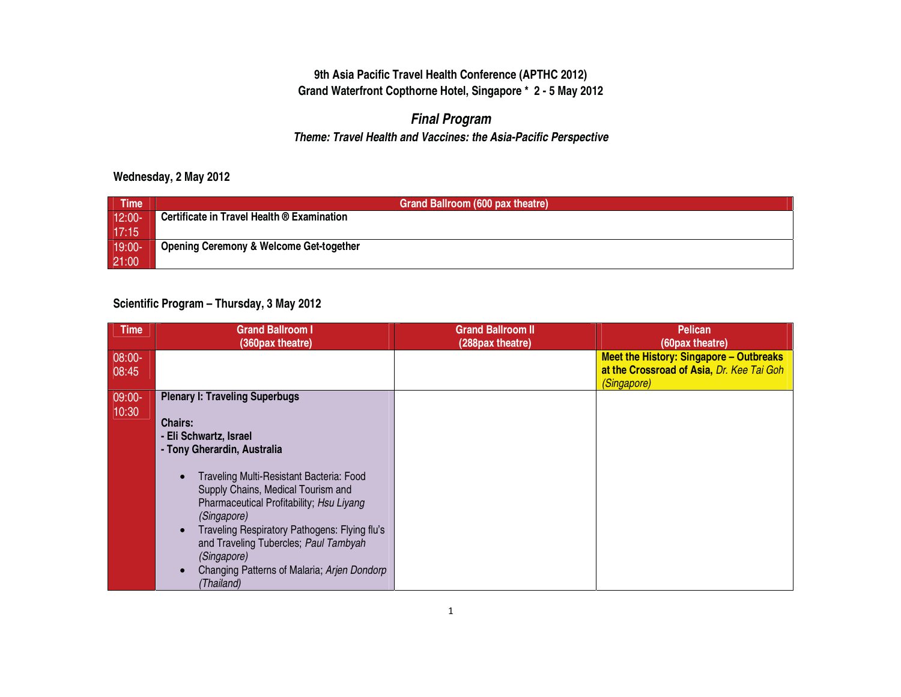## *Final Program*

#### *Theme: Travel Health and Vaccines: the Asia-Pacific Perspective*

#### **Wednesday, 2 May 2012**

| <b>Time</b>  | Grand Ballroom (600 pax theatre)                   |
|--------------|----------------------------------------------------|
| $12:00-$     | Certificate in Travel Health ® Examination         |
| 17:15        |                                                    |
| $19:00^{-1}$ | <b>Opening Ceremony &amp; Welcome Get-together</b> |
| 21:00        |                                                    |

#### **Scientific Program – Thursday, 3 May 2012**

| <b>Time</b>       | <b>Grand Ballroom I</b><br>(360pax theatre)                                                                                                                                                                                                                                                                                                                                                                                         | <b>Grand Ballroom II</b><br>(288pax theatre) | <b>Pelican</b><br>(60pax theatre)                                                                          |
|-------------------|-------------------------------------------------------------------------------------------------------------------------------------------------------------------------------------------------------------------------------------------------------------------------------------------------------------------------------------------------------------------------------------------------------------------------------------|----------------------------------------------|------------------------------------------------------------------------------------------------------------|
| $08:00-$<br>08:45 |                                                                                                                                                                                                                                                                                                                                                                                                                                     |                                              | <b>Meet the History: Singapore - Outbreaks</b><br>at the Crossroad of Asia, Dr. Kee Tai Goh<br>(Singapore) |
| $09:00-$<br>10:30 | <b>Plenary I: Traveling Superbugs</b><br><b>Chairs:</b><br>- Eli Schwartz, Israel<br>- Tony Gherardin, Australia<br>Traveling Multi-Resistant Bacteria: Food<br>Supply Chains, Medical Tourism and<br>Pharmaceutical Profitability; Hsu Liyang<br>(Singapore)<br>Traveling Respiratory Pathogens: Flying flu's<br>and Traveling Tubercles; Paul Tambyah<br>(Singapore)<br>Changing Patterns of Malaria; Arjen Dondorp<br>(Thailand) |                                              |                                                                                                            |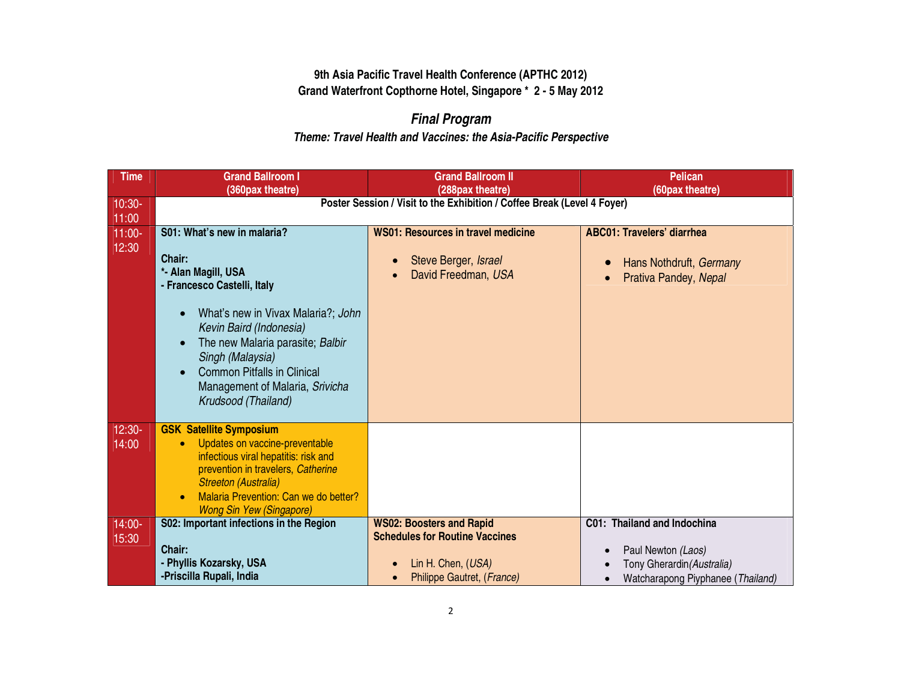# *Final Program*

| <b>Time</b>        | <b>Grand Ballroom I</b><br>(360pax theatre)                                                                                                                                                                                                                            | <b>Grand Ballroom II</b><br>(288pax theatre)                                                                                              | <b>Pelican</b><br>(60pax theatre)                                                                                    |  |  |
|--------------------|------------------------------------------------------------------------------------------------------------------------------------------------------------------------------------------------------------------------------------------------------------------------|-------------------------------------------------------------------------------------------------------------------------------------------|----------------------------------------------------------------------------------------------------------------------|--|--|
| $10:30-$<br>11:00  | Poster Session / Visit to the Exhibition / Coffee Break (Level 4 Foyer)                                                                                                                                                                                                |                                                                                                                                           |                                                                                                                      |  |  |
| $11:00 -$<br>12:30 | S01: What's new in malaria?<br>Chair:<br>*- Alan Magill, USA<br>- Francesco Castelli, Italy                                                                                                                                                                            | <b>WS01: Resources in travel medicine</b><br>Steve Berger, Israel<br>$\bullet$<br>David Freedman, USA                                     | <b>ABC01: Travelers' diarrhea</b><br>Hans Nothdruft, Germany<br>$\bullet$<br>Prativa Pandey, Nepal<br>$\bullet$      |  |  |
|                    | What's new in Vivax Malaria?; John<br>Kevin Baird (Indonesia)<br>The new Malaria parasite; Balbir<br>Singh (Malaysia)<br><b>Common Pitfalls in Clinical</b><br>Management of Malaria, Srivicha<br>Krudsood (Thailand)                                                  |                                                                                                                                           |                                                                                                                      |  |  |
| $12:30-$<br>14:00  | <b>GSK Satellite Symposium</b><br>Updates on vaccine-preventable<br>$\bullet$<br>infectious viral hepatitis: risk and<br>prevention in travelers, Catherine<br><b>Streeton (Australia)</b><br>Malaria Prevention: Can we do better?<br><b>Wong Sin Yew (Singapore)</b> |                                                                                                                                           |                                                                                                                      |  |  |
| 14:00-<br>15:30    | S02: Important infections in the Region<br>Chair:<br>- Phyllis Kozarsky, USA<br>-Priscilla Rupali, India                                                                                                                                                               | <b>WS02: Boosters and Rapid</b><br><b>Schedules for Routine Vaccines</b><br>Lin H. Chen, (USA)<br>Philippe Gautret, (France)<br>$\bullet$ | C01: Thailand and Indochina<br>Paul Newton (Laos)<br>Tony Gherardin (Australia)<br>Watcharapong Piyphanee (Thailand) |  |  |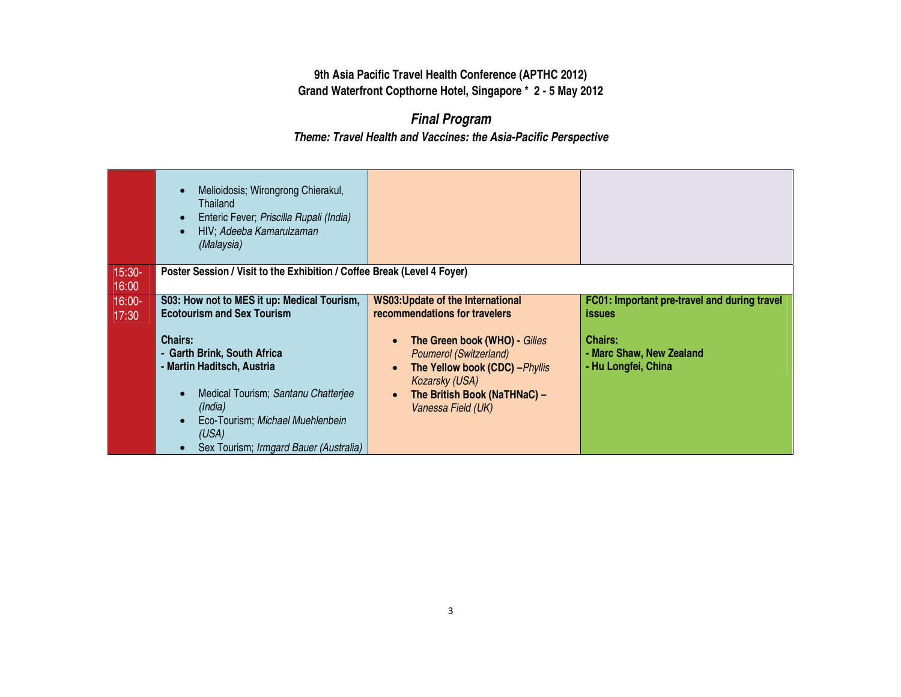# *Final Program*

|                   | Melioidosis; Wirongrong Chierakul,<br>Thailand<br>Enteric Fever; Priscilla Rupali (India)<br>HIV; Adeeba Kamarulzaman<br>(Malaysia)                                                                                  |                                                                                                                                                                                                     |                                                                   |
|-------------------|----------------------------------------------------------------------------------------------------------------------------------------------------------------------------------------------------------------------|-----------------------------------------------------------------------------------------------------------------------------------------------------------------------------------------------------|-------------------------------------------------------------------|
| $15:30-$<br>16:00 | Poster Session / Visit to the Exhibition / Coffee Break (Level 4 Foyer)                                                                                                                                              |                                                                                                                                                                                                     |                                                                   |
| $16:00-$<br>17:30 | S03: How not to MES it up: Medical Tourism,<br><b>Ecotourism and Sex Tourism</b>                                                                                                                                     | <b>WS03: Update of the International</b><br>recommendations for travelers                                                                                                                           | FC01: Important pre-travel and during travel<br><i>issues</i>     |
|                   | <b>Chairs:</b><br>- Garth Brink, South Africa<br>- Martin Haditsch, Austria<br>Medical Tourism; Santanu Chatterjee<br>(India)<br>Eco-Tourism; Michael Muehlenbein<br>(USA)<br>Sex Tourism; Irmgard Bauer (Australia) | The Green book (WHO) - Gilles<br>$\bullet$<br><b>Poumerol (Switzerland)</b><br>The Yellow book (CDC) - Phyllis<br>$\bullet$<br>Kozarsky (USA)<br>The British Book (NaTHNaC) -<br>Vanessa Field (UK) | <b>Chairs:</b><br>- Marc Shaw, New Zealand<br>- Hu Longfei, China |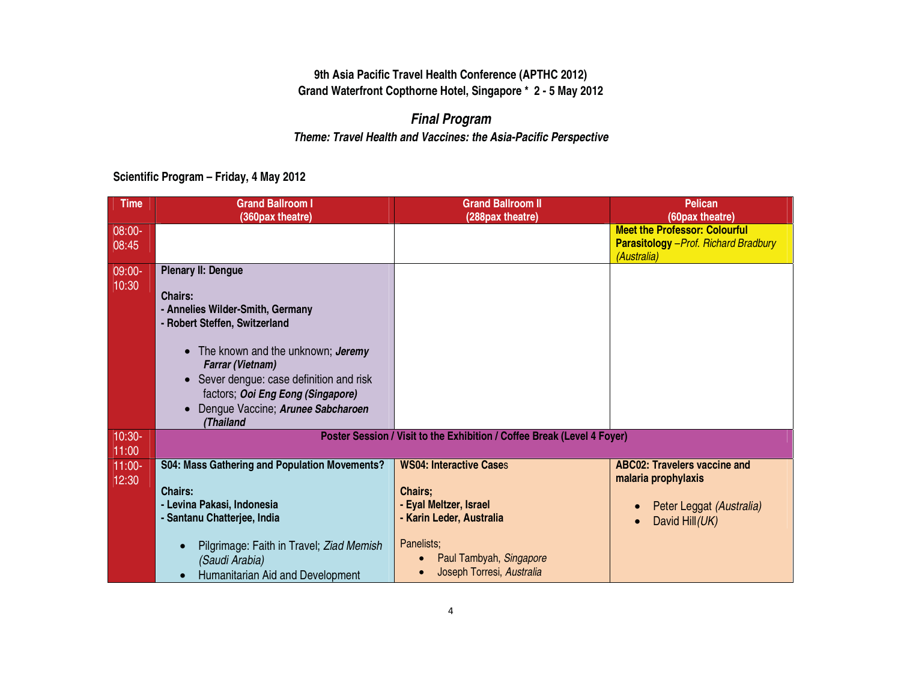# *Final Program*

## *Theme: Travel Health and Vaccines: the Asia-Pacific Perspective*

**Scientific Program – Friday, 4 May 2012** 

| <b>Time</b>                 | <b>Grand Ballroom I</b><br>(360pax theatre)                                                                                                                                                                                                                                                                                                              | <b>Grand Ballroom II</b><br>(288pax theatre)                                                                                                                                 | <b>Pelican</b><br>(60pax theatre)                                                                        |
|-----------------------------|----------------------------------------------------------------------------------------------------------------------------------------------------------------------------------------------------------------------------------------------------------------------------------------------------------------------------------------------------------|------------------------------------------------------------------------------------------------------------------------------------------------------------------------------|----------------------------------------------------------------------------------------------------------|
| 08:00-<br>08:45             |                                                                                                                                                                                                                                                                                                                                                          |                                                                                                                                                                              | <b>Meet the Professor: Colourful</b><br><b>Parasitology</b> - Prof. Richard Bradbury<br>(Australia)      |
| 09:00-<br>10:30             | <b>Plenary II: Dengue</b><br><b>Chairs:</b><br>- Annelies Wilder-Smith, Germany<br>- Robert Steffen, Switzerland<br>The known and the unknown; Jeremy<br>$\bullet$<br><b>Farrar (Vietnam)</b><br>Sever dengue: case definition and risk<br>$\bullet$<br>factors; Ooi Eng Eong (Singapore)<br>Dengue Vaccine; Arunee Sabcharoen<br>$\bullet$<br>(Thailand |                                                                                                                                                                              |                                                                                                          |
| $10:30-$                    |                                                                                                                                                                                                                                                                                                                                                          | Poster Session / Visit to the Exhibition / Coffee Break (Level 4 Foyer)                                                                                                      |                                                                                                          |
| 11:00<br>$11:00 -$<br>12:30 | S04: Mass Gathering and Population Movements?<br><b>Chairs:</b><br>- Levina Pakasi, Indonesia<br>- Santanu Chatterjee, India<br>Pilgrimage: Faith in Travel; Ziad Memish<br>(Saudi Arabia)<br>Humanitarian Aid and Development                                                                                                                           | <b>WS04: Interactive Cases</b><br><b>Chairs;</b><br>- Eyal Meltzer, Israel<br>- Karin Leder, Australia<br>Panelists;<br>Paul Tambyah, Singapore<br>Joseph Torresi, Australia | <b>ABC02: Travelers vaccine and</b><br>malaria prophylaxis<br>Peter Leggat (Australia)<br>David Hill(UK) |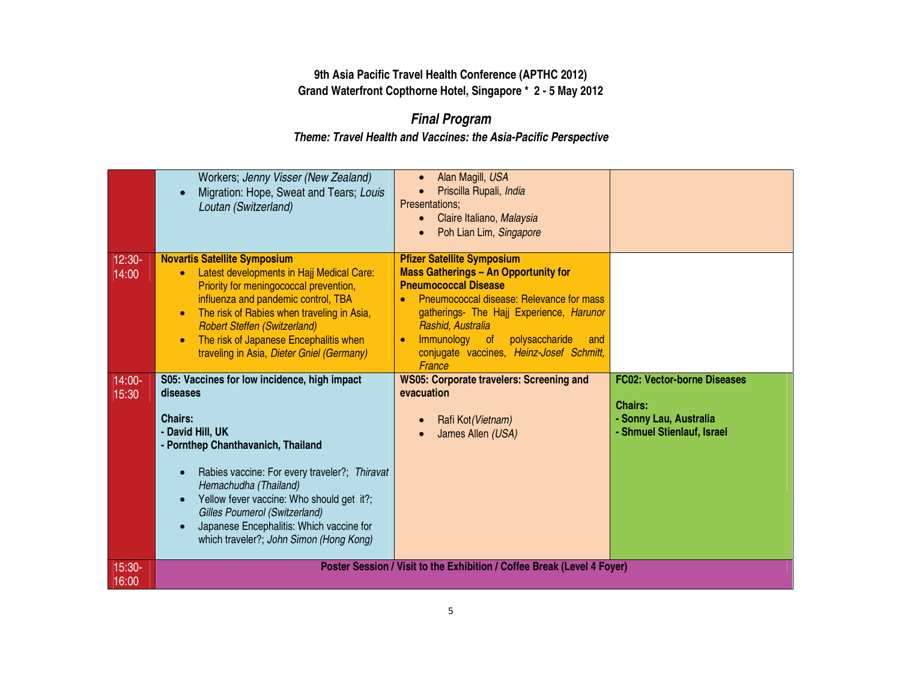# *Final Program*

|          | Workers; Jenny Visser (New Zealand)           | Alan Magill, USA                                                        |                                    |
|----------|-----------------------------------------------|-------------------------------------------------------------------------|------------------------------------|
|          | Migration: Hope, Sweat and Tears; Louis       | Priscilla Rupali, India                                                 |                                    |
|          | Loutan (Switzerland)                          | Presentations;                                                          |                                    |
|          |                                               | Claire Italiano, Malaysia                                               |                                    |
|          |                                               | Poh Lian Lim, Singapore                                                 |                                    |
|          |                                               |                                                                         |                                    |
| $12:30-$ | <b>Novartis Satellite Symposium</b>           | <b>Pfizer Satellite Symposium</b>                                       |                                    |
| 14:00    | Latest developments in Hajj Medical Care:     | <b>Mass Gatherings - An Opportunity for</b>                             |                                    |
|          | Priority for meningococcal prevention,        | <b>Pneumococcal Disease</b>                                             |                                    |
|          | influenza and pandemic control, TBA           | Pneumococcal disease: Relevance for mass                                |                                    |
|          | The risk of Rabies when traveling in Asia,    | gatherings- The Hajj Experience, Harunor                                |                                    |
|          | <b>Robert Steffen (Switzerland)</b>           | Rashid, Australia                                                       |                                    |
|          | The risk of Japanese Encephalitis when        | Immunology of<br>polysaccharide<br>and                                  |                                    |
|          | traveling in Asia, Dieter Gniel (Germany)     | conjugate vaccines, Heinz-Josef Schmitt,<br>France                      |                                    |
| $14:00-$ | S05: Vaccines for low incidence, high impact  | <b>WS05: Corporate travelers: Screening and</b>                         | <b>FC02: Vector-borne Diseases</b> |
|          |                                               |                                                                         |                                    |
|          | diseases                                      | evacuation                                                              |                                    |
| 15:30    |                                               |                                                                         | <b>Chairs:</b>                     |
|          | <b>Chairs:</b>                                | Rafi Kot (Vietnam)                                                      | - Sonny Lau, Australia             |
|          | - David Hill, UK                              | James Allen (USA)                                                       | - Shmuel Stienlauf, Israel         |
|          | - Pornthep Chanthavanich, Thailand            |                                                                         |                                    |
|          |                                               |                                                                         |                                    |
|          | Rabies vaccine: For every traveler?; Thiravat |                                                                         |                                    |
|          | Hemachudha (Thailand)                         |                                                                         |                                    |
|          | Yellow fever vaccine: Who should get it?;     |                                                                         |                                    |
|          | Gilles Poumerol (Switzerland)                 |                                                                         |                                    |
|          | Japanese Encephalitis: Which vaccine for      |                                                                         |                                    |
|          | which traveler?; John Simon (Hong Kong)       |                                                                         |                                    |
| 15:30-   |                                               | Poster Session / Visit to the Exhibition / Coffee Break (Level 4 Foyer) |                                    |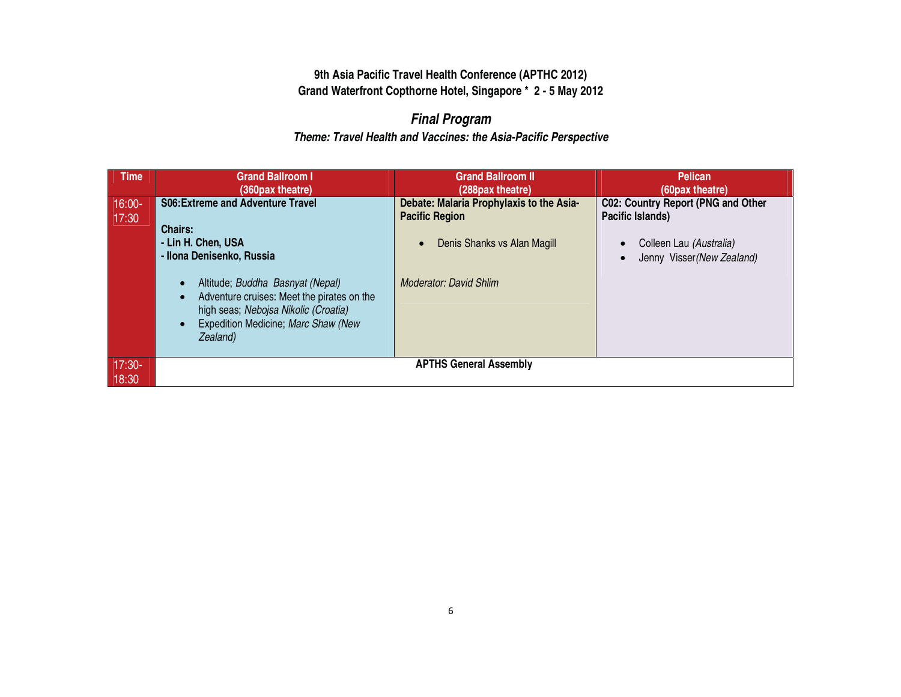# *Final Program*

| <b>Time</b>       | <b>Grand Ballroom I</b><br>(360pax theatre)                                                                                                                                                            | <b>Grand Ballroom II</b><br>(288pax theatre)                                                     | <b>Pelican</b><br>(60pax theatre)                                                 |
|-------------------|--------------------------------------------------------------------------------------------------------------------------------------------------------------------------------------------------------|--------------------------------------------------------------------------------------------------|-----------------------------------------------------------------------------------|
| $16:00-$<br>17:30 | <b>S06: Extreme and Adventure Travel</b><br><b>Chairs:</b><br>- Lin H. Chen, USA                                                                                                                       | Debate: Malaria Prophylaxis to the Asia-<br><b>Pacific Region</b><br>Denis Shanks vs Alan Magill | C02: Country Report (PNG and Other<br>Pacific Islands)<br>Colleen Lau (Australia) |
|                   | - Ilona Denisenko, Russia<br>Altitude; Buddha Basnyat (Nepal)<br>Adventure cruises: Meet the pirates on the<br>high seas; Nebojsa Nikolic (Croatia)<br>Expedition Medicine; Marc Shaw (New<br>Zealand) | <b>Moderator: David Shlim</b>                                                                    | Jenny Visser (New Zealand)                                                        |
| $17:30-$<br>18:30 |                                                                                                                                                                                                        | <b>APTHS General Assembly</b>                                                                    |                                                                                   |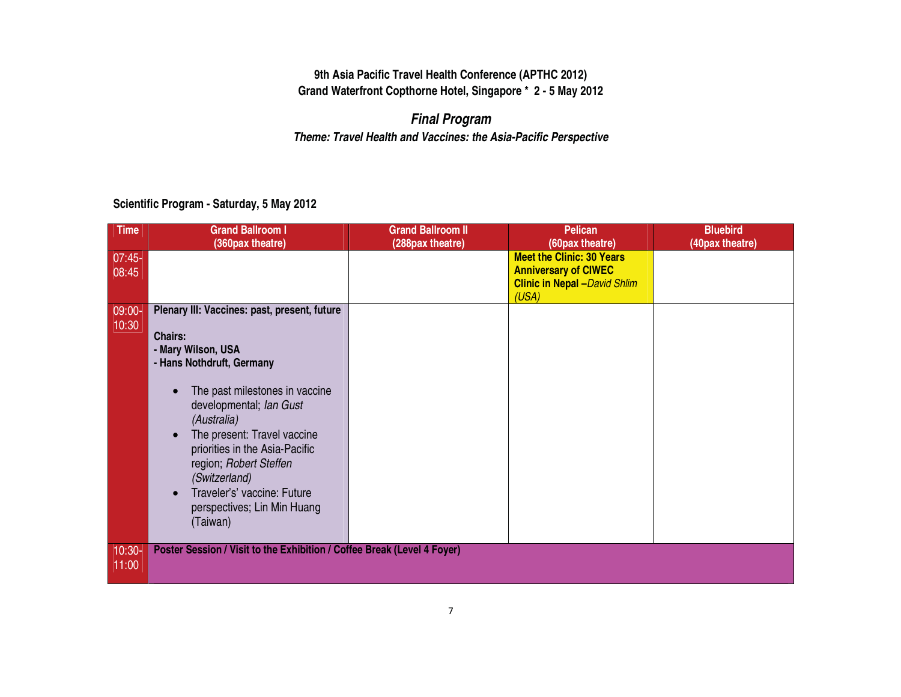## *Final Program Theme: Travel Health and Vaccines: the Asia-Pacific Perspective*

#### **Scientific Program - Saturday, 5 May 2012**

| <b>Time</b>       | <b>Grand Ballroom I</b><br>(360pax theatre)                                                                                                                                                                                                                                                                                                                                | <b>Grand Ballroom II</b><br>(288pax theatre) | <b>Pelican</b><br>(60pax theatre)                                                                                | <b>Bluebird</b><br>(40pax theatre) |
|-------------------|----------------------------------------------------------------------------------------------------------------------------------------------------------------------------------------------------------------------------------------------------------------------------------------------------------------------------------------------------------------------------|----------------------------------------------|------------------------------------------------------------------------------------------------------------------|------------------------------------|
| $07:45-$<br>08:45 |                                                                                                                                                                                                                                                                                                                                                                            |                                              | <b>Meet the Clinic: 30 Years</b><br><b>Anniversary of CIWEC</b><br><b>Clinic in Nepal - David Shlim</b><br>(USA) |                                    |
| $ 09:00-$         | Plenary III: Vaccines: past, present, future                                                                                                                                                                                                                                                                                                                               |                                              |                                                                                                                  |                                    |
| 10:30             | <b>Chairs:</b><br>- Mary Wilson, USA<br>- Hans Nothdruft, Germany<br>The past milestones in vaccine<br>$\bullet$<br>developmental; Ian Gust<br>(Australia)<br>The present: Travel vaccine<br>$\bullet$<br>priorities in the Asia-Pacific<br>region; Robert Steffen<br>(Switzerland)<br>Traveler's' vaccine: Future<br>$\bullet$<br>perspectives; Lin Min Huang<br>(Taiwan) |                                              |                                                                                                                  |                                    |
| $10:30-$          | Poster Session / Visit to the Exhibition / Coffee Break (Level 4 Foyer)                                                                                                                                                                                                                                                                                                    |                                              |                                                                                                                  |                                    |
| 11:00             |                                                                                                                                                                                                                                                                                                                                                                            |                                              |                                                                                                                  |                                    |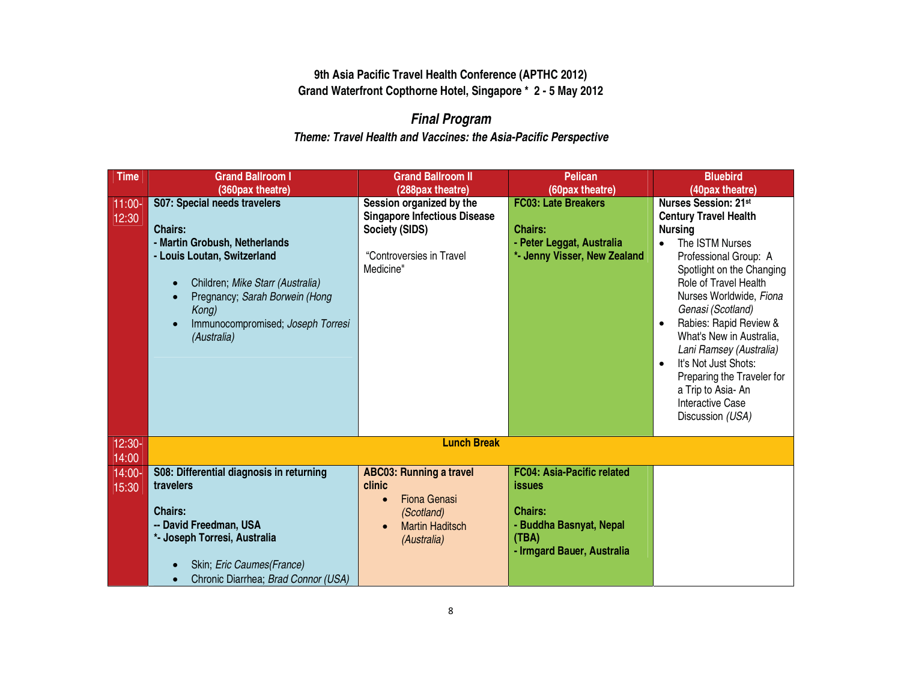# *Final Program*

| <b>Time</b>       | <b>Grand Ballroom I</b>                               | <b>Grand Ballroom II</b>                     | <b>Pelican</b>                                | <b>Bluebird</b>                                                 |
|-------------------|-------------------------------------------------------|----------------------------------------------|-----------------------------------------------|-----------------------------------------------------------------|
| $11:00-$          | (360pax theatre)<br>S07: Special needs travelers      | (288pax theatre)<br>Session organized by the | (60pax theatre)<br><b>FC03: Late Breakers</b> | (40pax theatre)<br><b>Nurses Session: 21st</b>                  |
| 12:30             |                                                       | <b>Singapore Infectious Disease</b>          |                                               | <b>Century Travel Health</b>                                    |
|                   | <b>Chairs:</b>                                        | Society (SIDS)                               | <b>Chairs:</b>                                | <b>Nursing</b>                                                  |
|                   | - Martin Grobush, Netherlands                         |                                              | - Peter Leggat, Australia                     | The ISTM Nurses<br>$\bullet$                                    |
|                   | - Louis Loutan, Switzerland                           | "Controversies in Travel                     | *- Jenny Visser, New Zealand                  | Professional Group: A                                           |
|                   |                                                       | Medicine"                                    |                                               | Spotlight on the Changing                                       |
|                   | Children; Mike Starr (Australia)<br>$\bullet$         |                                              |                                               | Role of Travel Health                                           |
|                   | Pregnancy; Sarah Borwein (Hong<br>$\bullet$           |                                              |                                               | Nurses Worldwide, Fiona                                         |
|                   | Kong)                                                 |                                              |                                               | Genasi (Scotland)                                               |
|                   | Immunocompromised; Joseph Torresi<br>(Australia)      |                                              |                                               | Rabies: Rapid Review &<br>$\bullet$<br>What's New in Australia, |
|                   |                                                       |                                              |                                               | Lani Ramsey (Australia)                                         |
|                   |                                                       |                                              |                                               | It's Not Just Shots:<br>$\bullet$                               |
|                   |                                                       |                                              |                                               | Preparing the Traveler for                                      |
|                   |                                                       |                                              |                                               | a Trip to Asia- An                                              |
|                   |                                                       |                                              |                                               | <b>Interactive Case</b>                                         |
|                   |                                                       |                                              |                                               | Discussion (USA)                                                |
|                   |                                                       |                                              |                                               |                                                                 |
| $12:30-$          |                                                       | <b>Lunch Break</b>                           |                                               |                                                                 |
| 14:00             |                                                       |                                              | <b>FC04: Asia-Pacific related</b>             |                                                                 |
| $14:00-$<br>15:30 | S08: Differential diagnosis in returning<br>travelers | <b>ABC03: Running a travel</b><br>clinic     | <b>issues</b>                                 |                                                                 |
|                   |                                                       | <b>Fiona Genasi</b><br>$\bullet$             |                                               |                                                                 |
|                   | <b>Chairs:</b>                                        | (Scotland)                                   | <b>Chairs:</b>                                |                                                                 |
|                   | -- David Freedman, USA                                | <b>Martin Haditsch</b>                       | - Buddha Basnyat, Nepal                       |                                                                 |
|                   | *- Joseph Torresi, Australia                          | (Australia)                                  | (TBA)                                         |                                                                 |
|                   |                                                       |                                              | - Irmgard Bauer, Australia                    |                                                                 |
|                   | Skin; Eric Caumes(France)                             |                                              |                                               |                                                                 |
|                   | Chronic Diarrhea; Brad Connor (USA)<br>$\bullet$      |                                              |                                               |                                                                 |